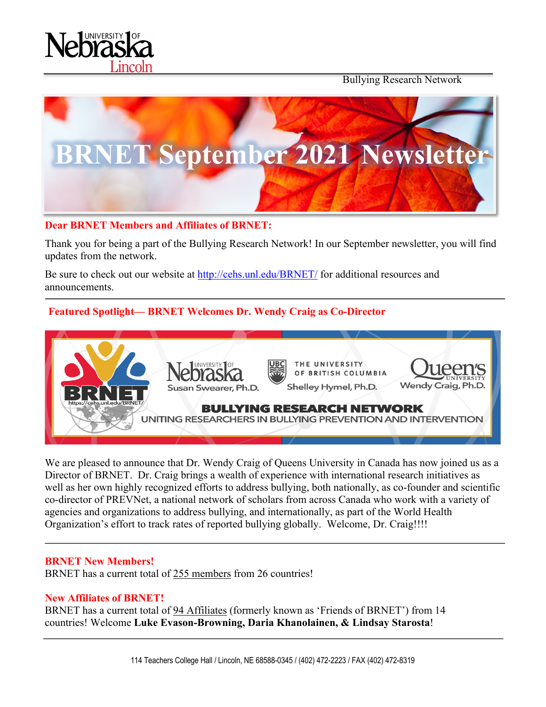

Bullying Research Network



### **Dear BRNET Members and Affiliates of BRNET:**

Thank you for being a part of the Bullying Research Network! In our September newsletter, you will find updates from the network.

Be sure to check out our website at http://cehs.unl.edu/BRNET/ for additional resources and announcements.

# **Featured Spotlight— BRNET Welcomes Dr. Wendy Craig as Co-Director**



We are pleased to announce that Dr. Wendy Craig of Queens University in Canada has now joined us as a Director of BRNET. Dr. Craig brings a wealth of experience with international research initiatives as well as her own highly recognized efforts to address bullying, both nationally, as co-founder and scientific co-director of PREVNet, a national network of scholars from across Canada who work with a variety of agencies and organizations to address bullying, and internationally, as part of the World Health Organization's effort to track rates of reported bullying globally. Welcome, Dr. Craig!!!!

#### **BRNET New Members!**

BRNET has a current total of 255 members from 26 countries!

#### **New Affiliates of BRNET!**

BRNET has a current total of 94 Affiliates (formerly known as 'Friends of BRNET') from 14 countries! Welcome **Luke Evason-Browning, Daria Khanolainen, & Lindsay Starosta**!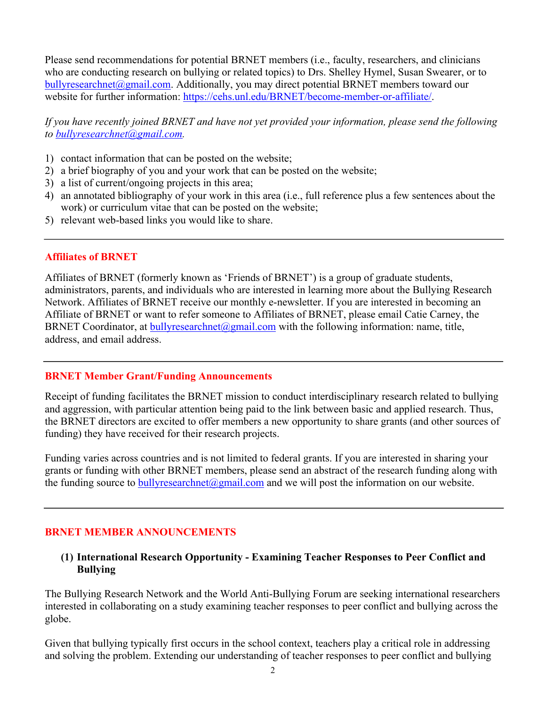Please send recommendations for potential BRNET members (i.e., faculty, researchers, and clinicians who are conducting research on bullying or related topics) to Drs. Shelley Hymel, Susan Swearer, or to bullyresearchnet@gmail.com. Additionally, you may direct potential BRNET members toward our website for further information: https://cehs.unl.edu/BRNET/become-member-or-affiliate/.

*If you have recently joined BRNET and have not yet provided your information, please send the following to bullyresearchnet@gmail.com.*

- 1) contact information that can be posted on the website;
- 2) a brief biography of you and your work that can be posted on the website;
- 3) a list of current/ongoing projects in this area;
- 4) an annotated bibliography of your work in this area (i.e., full reference plus a few sentences about the work) or curriculum vitae that can be posted on the website;
- 5) relevant web-based links you would like to share.

#### **Affiliates of BRNET**

Affiliates of BRNET (formerly known as 'Friends of BRNET') is a group of graduate students, administrators, parents, and individuals who are interested in learning more about the Bullying Research Network. Affiliates of BRNET receive our monthly e-newsletter. If you are interested in becoming an Affiliate of BRNET or want to refer someone to Affiliates of BRNET, please email Catie Carney, the BRNET Coordinator, at bullyresearchnet $(Qgmail.com$  with the following information: name, title, address, and email address.

#### **BRNET Member Grant/Funding Announcements**

Receipt of funding facilitates the BRNET mission to conduct interdisciplinary research related to bullying and aggression, with particular attention being paid to the link between basic and applied research. Thus, the BRNET directors are excited to offer members a new opportunity to share grants (and other sources of funding) they have received for their research projects.

Funding varies across countries and is not limited to federal grants. If you are interested in sharing your grants or funding with other BRNET members, please send an abstract of the research funding along with the funding source to bully research net  $\omega$  gmail.com and we will post the information on our website.

#### **BRNET MEMBER ANNOUNCEMENTS**

### **(1) International Research Opportunity - Examining Teacher Responses to Peer Conflict and Bullying**

The Bullying Research Network and the World Anti-Bullying Forum are seeking international researchers interested in collaborating on a study examining teacher responses to peer conflict and bullying across the globe.

Given that bullying typically first occurs in the school context, teachers play a critical role in addressing and solving the problem. Extending our understanding of teacher responses to peer conflict and bullying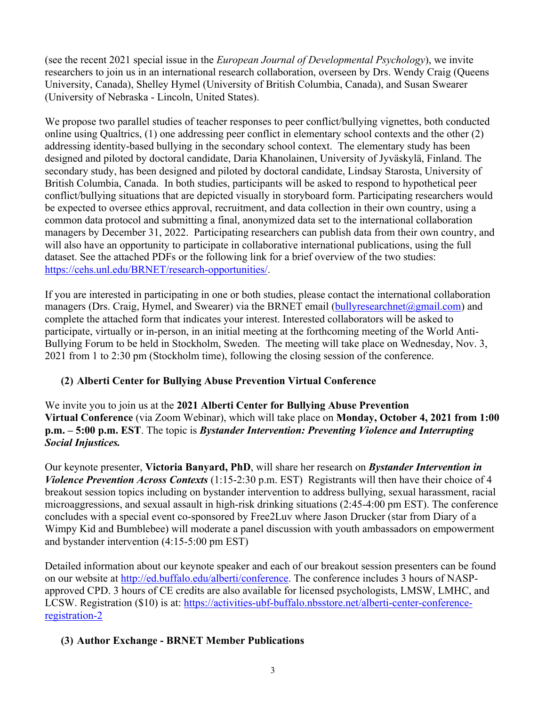(see the recent 2021 special issue in the *European Journal of Developmental Psychology*), we invite researchers to join us in an international research collaboration, overseen by Drs. Wendy Craig (Queens University, Canada), Shelley Hymel (University of British Columbia, Canada), and Susan Swearer (University of Nebraska - Lincoln, United States).

We propose two parallel studies of teacher responses to peer conflict/bullying vignettes, both conducted online using Qualtrics, (1) one addressing peer conflict in elementary school contexts and the other (2) addressing identity-based bullying in the secondary school context. The elementary study has been designed and piloted by doctoral candidate, Daria Khanolainen, University of Jyväskylä, Finland. The secondary study, has been designed and piloted by doctoral candidate, Lindsay Starosta, University of British Columbia, Canada. In both studies, participants will be asked to respond to hypothetical peer conflict/bullying situations that are depicted visually in storyboard form. Participating researchers would be expected to oversee ethics approval, recruitment, and data collection in their own country, using a common data protocol and submitting a final, anonymized data set to the international collaboration managers by December 31, 2022. Participating researchers can publish data from their own country, and will also have an opportunity to participate in collaborative international publications, using the full dataset. See the attached PDFs or the following link for a brief overview of the two studies: https://cehs.unl.edu/BRNET/research-opportunities/.

If you are interested in participating in one or both studies, please contact the international collaboration managers (Drs. Craig, Hymel, and Swearer) via the BRNET email (bullyresearchnet@gmail.com) and complete the attached form that indicates your interest. Interested collaborators will be asked to participate, virtually or in-person, in an initial meeting at the forthcoming meeting of the World Anti-Bullying Forum to be held in Stockholm, Sweden. The meeting will take place on Wednesday, Nov. 3, 2021 from 1 to 2:30 pm (Stockholm time), following the closing session of the conference.

# **(2) Alberti Center for Bullying Abuse Prevention Virtual Conference**

We invite you to join us at the **2021 Alberti Center for Bullying Abuse Prevention Virtual Conference** (via Zoom Webinar), which will take place on **Monday, October 4, 2021 from 1:00 p.m. – 5:00 p.m. EST**. The topic is *Bystander Intervention: Preventing Violence and Interrupting Social Injustices.*

Our keynote presenter, **Victoria Banyard, PhD**, will share her research on *Bystander Intervention in Violence Prevention Across Contexts* (1:15-2:30 p.m. EST) Registrants will then have their choice of 4 breakout session topics including on bystander intervention to address bullying, sexual harassment, racial microaggressions, and sexual assault in high-risk drinking situations (2:45-4:00 pm EST). The conference concludes with a special event co-sponsored by Free2Luv where Jason Drucker (star from Diary of a Wimpy Kid and Bumblebee) will moderate a panel discussion with youth ambassadors on empowerment and bystander intervention (4:15-5:00 pm EST)

Detailed information about our keynote speaker and each of our breakout session presenters can be found on our website at http://ed.buffalo.edu/alberti/conference. The conference includes 3 hours of NASPapproved CPD. 3 hours of CE credits are also available for licensed psychologists, LMSW, LMHC, and LCSW. Registration (\$10) is at: https://activities-ubf-buffalo.nbsstore.net/alberti-center-conferenceregistration-2

## **(3) Author Exchange - BRNET Member Publications**